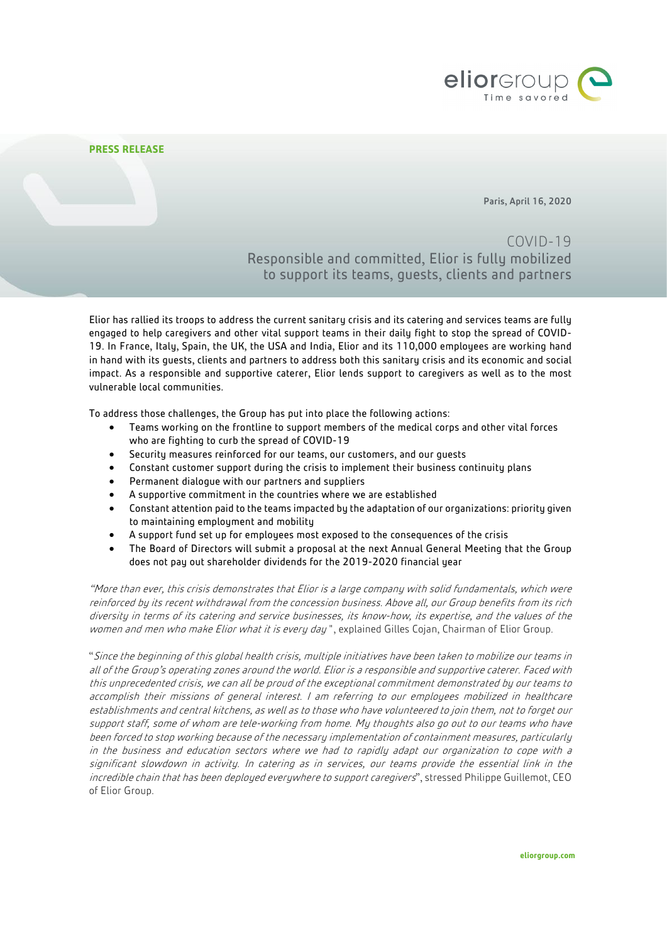

## **PRESS RELEASE**

Paris, April 16, 2020

COVID-19 Responsible and committed, Elior is fully mobilized to support its teams, guests, clients and partners

Elior has rallied its troops to address the current sanitary crisis and its catering and services teams are fully engaged to help caregivers and other vital support teams in their daily fight to stop the spread of COVID-19. In France, Italy, Spain, the UK, the USA and India, Elior and its 110,000 employees are working hand in hand with its guests, clients and partners to address both this sanitary crisis and its economic and social impact. As a responsible and supportive caterer, Elior lends support to caregivers as well as to the most vulnerable local communities.

To address those challenges, the Group has put into place the following actions:

- Teams working on the frontline to support members of the medical corps and other vital forces who are fighting to curb the spread of COVID-19
- Security measures reinforced for our teams, our customers, and our guests
- Constant customer support during the crisis to implement their business continuity plans
- Permanent dialogue with our partners and suppliers
- A supportive commitment in the countries where we are established
- Constant attention paid to the teams impacted by the adaptation of our organizations: priority given to maintaining employment and mobility
- A support fund set up for employees most exposed to the consequences of the crisis
- The Board of Directors will submit a proposal at the next Annual General Meeting that the Group does not pay out shareholder dividends for the 2019-2020 financial year

"More than ever, this crisis demonstrates that Elior is a large company with solid fundamentals, which were reinforced by its recent withdrawal from the concession business. Above all, our Group benefits from its rich diversity in terms of its catering and service businesses, its know-how, its expertise, and the values of the women and men who make Elior what it is every day", explained Gilles Cojan, Chairman of Elior Group.

"Since the beginning of this global health crisis, multiple initiatives have been taken to mobilize our teams in all of the Group's operating zones around the world. Elior is a responsible and supportive caterer. Faced with this unprecedented crisis, we can all be proud of the exceptional commitment demonstrated by our teams to accomplish their missions of general interest. I am referring to our employees mobilized in healthcare establishments and central kitchens, as well as to those who have volunteered to join them, not to forget our support staff, some of whom are tele-working from home. My thoughts also go out to our teams who have been forced to stop working because of the necessary implementation of containment measures, particularly in the business and education sectors where we had to rapidly adapt our organization to cope with a significant slowdown in activity. In catering as in services, our teams provide the essential link in the incredible chain that has been deployed everywhere to support caregivers", stressed Philippe Guillemot, CEO of Elior Group.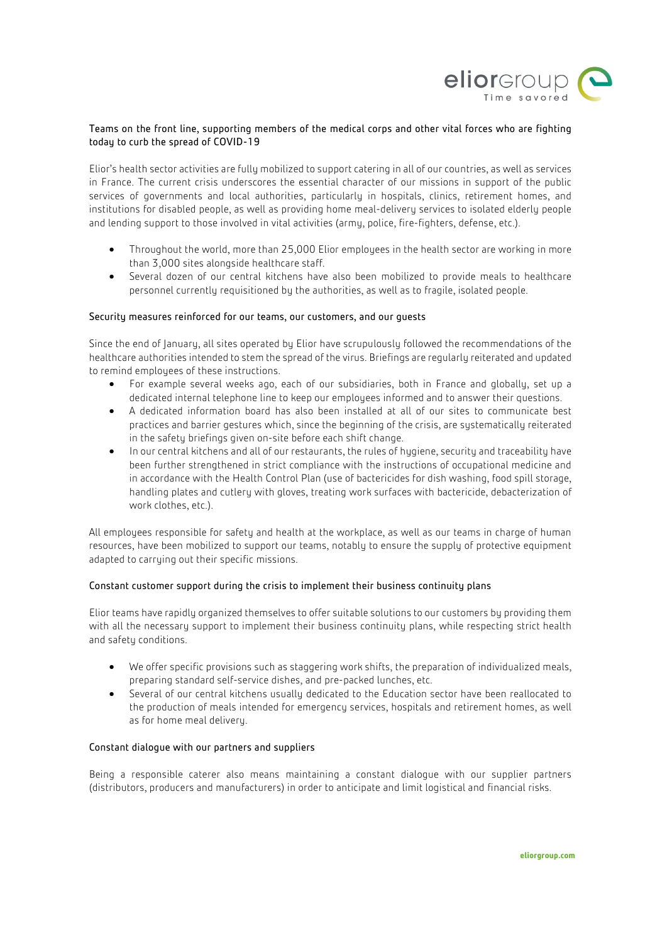

# Teams on the front line, supporting members of the medical corps and other vital forces who are fighting today to curb the spread of COVID-19

Elior's health sector activities are fully mobilized to support catering in all of our countries, as well as services in France. The current crisis underscores the essential character of our missions in support of the public services of governments and local authorities, particularly in hospitals, clinics, retirement homes, and institutions for disabled people, as well as providing home meal-delivery services to isolated elderly people and lending support to those involved in vital activities (army, police, fire-fighters, defense, etc.).

- Throughout the world, more than 25,000 Elior employees in the health sector are working in more than 3,000 sites alongside healthcare staff.
- Several dozen of our central kitchens have also been mobilized to provide meals to healthcare personnel currently requisitioned by the authorities, as well as to fragile, isolated people.

### Security measures reinforced for our teams, our customers, and our guests

Since the end of January, all sites operated by Elior have scrupulously followed the recommendations of the healthcare authorities intended to stem the spread of the virus. Briefings are regularly reiterated and updated to remind employees of these instructions.

- For example several weeks ago, each of our subsidiaries, both in France and globally, set up a dedicated internal telephone line to keep our employees informed and to answer their questions.
- A dedicated information board has also been installed at all of our sites to communicate best practices and barrier gestures which, since the beginning of the crisis, are systematically reiterated in the safety briefings given on-site before each shift change.
- In our central kitchens and all of our restaurants, the rules of hygiene, security and traceability have been further strengthened in strict compliance with the instructions of occupational medicine and in accordance with the Health Control Plan (use of bactericides for dish washing, food spill storage, handling plates and cutlery with gloves, treating work surfaces with bactericide, debacterization of work clothes, etc.).

All employees responsible for safety and health at the workplace, as well as our teams in charge of human resources, have been mobilized to support our teams, notably to ensure the supply of protective equipment adapted to carrying out their specific missions.

## Constant customer support during the crisis to implement their business continuity plans

Elior teams have rapidly organized themselves to offer suitable solutions to our customers by providing them with all the necessary support to implement their business continuity plans, while respecting strict health and safety conditions.

- We offer specific provisions such as staggering work shifts, the preparation of individualized meals, preparing standard self-service dishes, and pre-packed lunches, etc.
- Several of our central kitchens usually dedicated to the Education sector have been reallocated to the production of meals intended for emergency services, hospitals and retirement homes, as well as for home meal delivery.

### Constant dialogue with our partners and suppliers

Being a responsible caterer also means maintaining a constant dialogue with our supplier partners (distributors, producers and manufacturers) in order to anticipate and limit logistical and financial risks.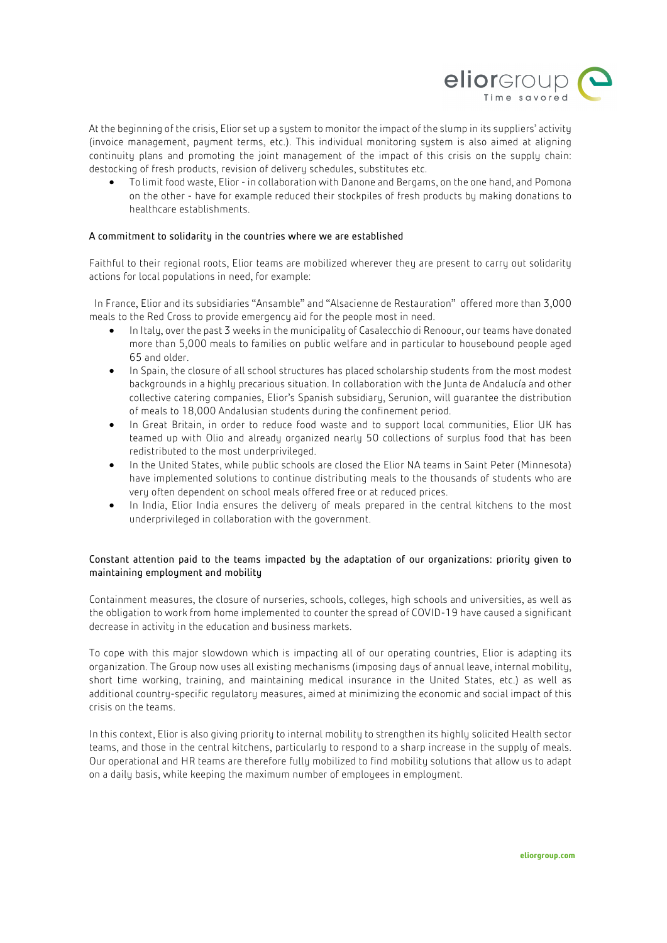

At the beginning of the crisis, Elior set up a system to monitor the impact of the slump in its suppliers' activity (invoice management, payment terms, etc.). This individual monitoring system is also aimed at aligning continuity plans and promoting the joint management of the impact of this crisis on the supply chain: destocking of fresh products, revision of delivery schedules, substitutes etc.

• To limit food waste, Elior -in collaboration with Danone and Bergams, on the one hand, and Pomona on the other - have for example reduced their stockpiles of fresh products by making donations to healthcare establishments.

## A commitment to solidarity in the countries where we are established

Faithful to their regional roots, Elior teams are mobilized wherever they are present to carry out solidarity actions for local populations in need, for example:

In France, Elior and its subsidiaries "Ansamble" and "Alsacienne de Restauration" offered more than 3,000 meals to the Red Cross to provide emergency aid for the people most in need.

- In Italy, over the past 3 weeks in the municipality of Casalecchio di Renoour, our teams have donated more than 5,000 meals to families on public welfare and in particular to housebound people aged 65 and older.
- In Spain, the closure of all school structures has placed scholarship students from the most modest backgrounds in a highly precarious situation. In collaboration with the Junta de Andalucía and other collective catering companies, Elior's Spanish subsidiary, Serunion, will guarantee the distribution of meals to 18,000 Andalusian students during the confinement period.
- In Great Britain, in order to reduce food waste and to support local communities, Elior UK has teamed up with Olio and already organized nearly 50 collections of surplus food that has been redistributed to the most underprivileged.
- In the United States, while public schools are closed the Elior NA teams in Saint Peter (Minnesota) have implemented solutions to continue distributing meals to the thousands of students who are very often dependent on school meals offered free or at reduced prices.
- In India, Elior India ensures the delivery of meals prepared in the central kitchens to the most underprivileged in collaboration with the government.

## Constant attention paid to the teams impacted by the adaptation of our organizations: priority given to maintaining employment and mobility

Containment measures, the closure of nurseries, schools, colleges, high schools and universities, as well as the obligation to work from home implemented to counter the spread of COVID-19 have caused a significant decrease in activity in the education and business markets.

To cope with this major slowdown which is impacting all of our operating countries, Elior is adapting its organization. The Group now uses all existing mechanisms (imposing days of annual leave, internal mobility, short time working, training, and maintaining medical insurance in the United States, etc.) as well as additional country-specific regulatory measures, aimed at minimizing the economic and social impact of this crisis on the teams.

In this context, Elior is also giving priority to internal mobility to strengthen its highly solicited Health sector teams, and those in the central kitchens, particularly to respond to a sharp increase in the supply of meals. Our operational and HR teams are therefore fully mobilized to find mobility solutions that allow us to adapt on a daily basis, while keeping the maximum number of employees in employment.